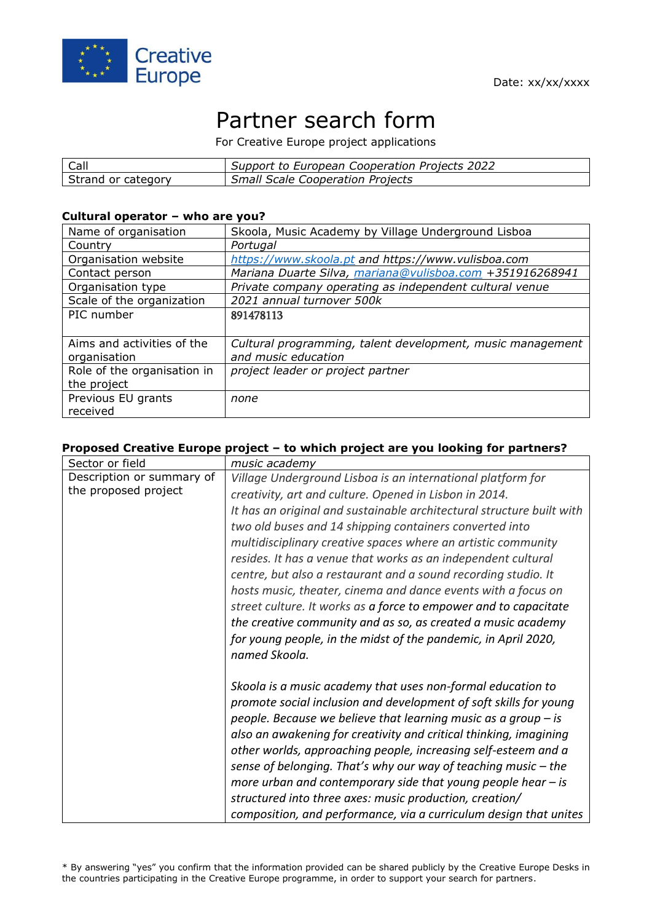

# Partner search form

For Creative Europe project applications

| Call               | Support to European Cooperation Projects 2022 |
|--------------------|-----------------------------------------------|
| Strand or category | <b>Small Scale Cooperation Projects</b>       |

#### **Cultural operator – who are you?**

| Name of organisation        | Skoola, Music Academy by Village Underground Lisboa        |
|-----------------------------|------------------------------------------------------------|
| Country                     | Portugal                                                   |
| Organisation website        | https://www.skoola.pt and https://www.vulisboa.com         |
| Contact person              | Mariana Duarte Silva, mariana@vulisboa.com +351916268941   |
| Organisation type           | Private company operating as independent cultural venue    |
| Scale of the organization   | 2021 annual turnover 500k                                  |
| PIC number                  | 891478113                                                  |
|                             |                                                            |
| Aims and activities of the  | Cultural programming, talent development, music management |
| organisation                | and music education                                        |
| Role of the organisation in | project leader or project partner                          |
| the project                 |                                                            |
| Previous EU grants          | none                                                       |
| received                    |                                                            |

### **Proposed Creative Europe project – to which project are you looking for partners?**

| Sector or field           | music academy                                                         |
|---------------------------|-----------------------------------------------------------------------|
| Description or summary of | Village Underground Lisboa is an international platform for           |
| the proposed project      | creativity, art and culture. Opened in Lisbon in 2014.                |
|                           | It has an original and sustainable architectural structure built with |
|                           | two old buses and 14 shipping containers converted into               |
|                           | multidisciplinary creative spaces where an artistic community         |
|                           | resides. It has a venue that works as an independent cultural         |
|                           | centre, but also a restaurant and a sound recording studio. It        |
|                           | hosts music, theater, cinema and dance events with a focus on         |
|                           | street culture. It works as a force to empower and to capacitate      |
|                           | the creative community and as so, as created a music academy          |
|                           | for young people, in the midst of the pandemic, in April 2020,        |
|                           | named Skoola.                                                         |
|                           |                                                                       |
|                           | Skoola is a music academy that uses non-formal education to           |
|                           | promote social inclusion and development of soft skills for young     |
|                           | people. Because we believe that learning music as a group $-$ is      |
|                           | also an awakening for creativity and critical thinking, imagining     |
|                           | other worlds, approaching people, increasing self-esteem and a        |
|                           | sense of belonging. That's why our way of teaching music $-$ the      |
|                           | more urban and contemporary side that young people hear $-$ is        |
|                           | structured into three axes: music production, creation/               |
|                           | composition, and performance, via a curriculum design that unites     |